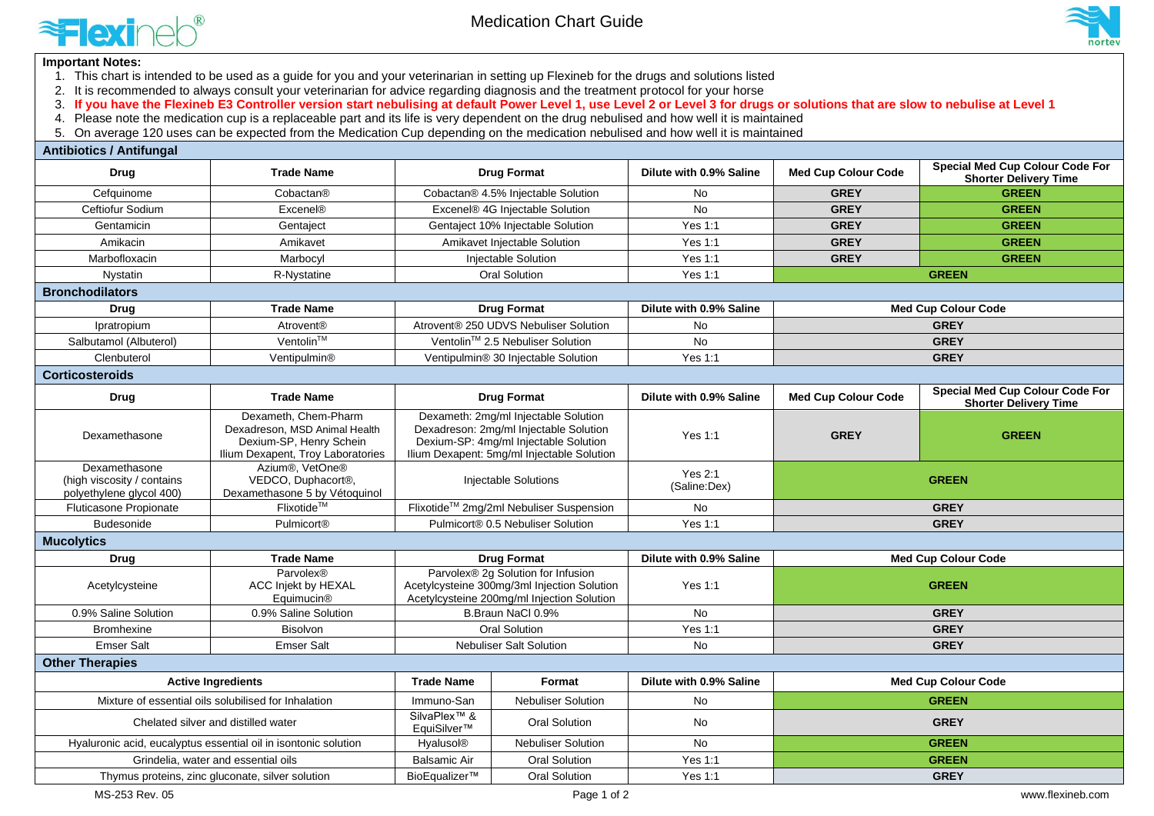

Medication Chart Guide



## **Important Notes:**

- 1. This chart is intended to be used as a guide for you and your veterinarian in setting up Flexineb for the drugs and solutions listed
- 2. It is recommended to always consult your veterinarian for advice regarding diagnosis and the treatment protocol for your horse
- 3. If you have the Flexineb E3 Controller version start nebulising at default Power Level 1, use Level 2 or Level 3 for drugs or solutions that are slow to nebulise at Level 1
- 4. Please note the medication cup is a replaceable part and its life is very dependent on the drug nebulised and how well it is maintained

5. On average 120 uses can be expected from the Medication Cup depending on the medication nebulised and how well it is maintained

| <b>Antibiotics / Antifungal</b>                                         |                                                                                                                       |                                                                                                                                                                       |                                       |                                |                            |                                                                        |
|-------------------------------------------------------------------------|-----------------------------------------------------------------------------------------------------------------------|-----------------------------------------------------------------------------------------------------------------------------------------------------------------------|---------------------------------------|--------------------------------|----------------------------|------------------------------------------------------------------------|
| <b>Drug</b>                                                             | <b>Trade Name</b>                                                                                                     | <b>Drug Format</b>                                                                                                                                                    |                                       | Dilute with 0.9% Saline        | <b>Med Cup Colour Code</b> | <b>Special Med Cup Colour Code For</b><br><b>Shorter Delivery Time</b> |
| Cefquinome                                                              | Cobactan®                                                                                                             | Cobactan® 4.5% Injectable Solution                                                                                                                                    |                                       | <b>No</b>                      | <b>GREY</b>                | <b>GREEN</b>                                                           |
| Ceftiofur Sodium                                                        | <b>Excenel®</b>                                                                                                       | Excenel® 4G Injectable Solution                                                                                                                                       |                                       | No                             | <b>GREY</b>                | <b>GREEN</b>                                                           |
| Gentamicin                                                              | Gentaject                                                                                                             | Gentaject 10% Injectable Solution                                                                                                                                     |                                       | <b>Yes 1:1</b>                 | <b>GREY</b>                | <b>GREEN</b>                                                           |
| Amikacin                                                                | Amikavet                                                                                                              | Amikavet Injectable Solution                                                                                                                                          |                                       | Yes 1:1                        | <b>GREY</b>                | <b>GREEN</b>                                                           |
| Marbofloxacin                                                           | Marbocyl                                                                                                              |                                                                                                                                                                       | Injectable Solution                   | Yes 1:1                        | <b>GREY</b>                | <b>GREEN</b>                                                           |
| Nystatin                                                                | R-Nystatine                                                                                                           | <b>Oral Solution</b>                                                                                                                                                  |                                       | <b>Yes 1:1</b>                 | <b>GREEN</b>               |                                                                        |
| <b>Bronchodilators</b>                                                  |                                                                                                                       |                                                                                                                                                                       |                                       |                                |                            |                                                                        |
| Drug                                                                    | <b>Trade Name</b>                                                                                                     | <b>Drug Format</b>                                                                                                                                                    |                                       | Dilute with 0.9% Saline        | <b>Med Cup Colour Code</b> |                                                                        |
| Ipratropium                                                             | Atrovent <sup>®</sup>                                                                                                 |                                                                                                                                                                       | Atrovent® 250 UDVS Nebuliser Solution | No                             | <b>GREY</b>                |                                                                        |
| Salbutamol (Albuterol)                                                  | Ventolin™                                                                                                             | Ventolin <sup>™</sup> 2.5 Nebuliser Solution                                                                                                                          |                                       | <b>No</b>                      | <b>GREY</b>                |                                                                        |
| Clenbuterol                                                             | Ventipulmin®                                                                                                          | Ventipulmin® 30 Iniectable Solution                                                                                                                                   |                                       | <b>Yes 1:1</b>                 | <b>GREY</b>                |                                                                        |
| <b>Corticosteroids</b>                                                  |                                                                                                                       |                                                                                                                                                                       |                                       |                                |                            |                                                                        |
| <b>Drug</b>                                                             | <b>Trade Name</b>                                                                                                     | <b>Drug Format</b>                                                                                                                                                    |                                       | Dilute with 0.9% Saline        | <b>Med Cup Colour Code</b> | <b>Special Med Cup Colour Code For</b><br><b>Shorter Delivery Time</b> |
| Dexamethasone                                                           | Dexameth, Chem-Pharm<br>Dexadreson, MSD Animal Health<br>Dexium-SP, Henry Schein<br>Ilium Dexapent, Troy Laboratories | Dexameth: 2mg/ml Injectable Solution<br>Dexadreson: 2mg/ml Injectable Solution<br>Dexium-SP: 4mg/ml Injectable Solution<br>Ilium Dexapent: 5mg/ml Injectable Solution |                                       | Yes 1:1                        | <b>GREY</b>                | <b>GREEN</b>                                                           |
| Dexamethasone<br>(high viscosity / contains<br>polyethylene glycol 400) | Azium <sup>®</sup> , VetOne <sup>®</sup><br>VEDCO, Duphacort®,<br>Dexamethasone 5 by Vétoquinol                       | Injectable Solutions                                                                                                                                                  |                                       | <b>Yes 2:1</b><br>(Saline:Dex) | <b>GREEN</b>               |                                                                        |
| <b>Fluticasone Propionate</b>                                           | Flixotide™                                                                                                            | Flixotide™ 2mg/2ml Nebuliser Suspension                                                                                                                               |                                       | No                             | <b>GREY</b>                |                                                                        |
| <b>Budesonide</b>                                                       | Pulmicort®                                                                                                            | Pulmicort® 0.5 Nebuliser Solution                                                                                                                                     |                                       | Yes 1:1                        | <b>GREY</b>                |                                                                        |
| <b>Mucolytics</b>                                                       |                                                                                                                       |                                                                                                                                                                       |                                       |                                |                            |                                                                        |
| Drug                                                                    | <b>Trade Name</b>                                                                                                     | <b>Drug Format</b>                                                                                                                                                    |                                       | Dilute with 0.9% Saline        | <b>Med Cup Colour Code</b> |                                                                        |
| Acetylcysteine                                                          | Parvolex®<br>ACC Injekt by HEXAL<br>Equimucin <sup>®</sup>                                                            | Parvolex® 2g Solution for Infusion<br>Acetylcysteine 300mg/3ml Injection Solution<br>Acetylcysteine 200mg/ml Injection Solution                                       |                                       | Yes 1:1                        | <b>GREEN</b>               |                                                                        |
| 0.9% Saline Solution                                                    | 0.9% Saline Solution                                                                                                  | B.Braun NaCl 0.9%                                                                                                                                                     |                                       | <b>No</b>                      | <b>GREY</b>                |                                                                        |
| Bromhexine                                                              | <b>Bisolvon</b>                                                                                                       | <b>Oral Solution</b>                                                                                                                                                  |                                       | <b>Yes 1:1</b>                 | <b>GREY</b>                |                                                                        |
| <b>Emser Salt</b>                                                       | <b>Emser Salt</b>                                                                                                     | <b>Nebuliser Salt Solution</b>                                                                                                                                        |                                       | <b>No</b>                      | <b>GREY</b>                |                                                                        |
| <b>Other Therapies</b>                                                  |                                                                                                                       |                                                                                                                                                                       |                                       |                                |                            |                                                                        |
| <b>Active Ingredients</b>                                               |                                                                                                                       | <b>Trade Name</b><br>Format                                                                                                                                           |                                       | Dilute with 0.9% Saline        | <b>Med Cup Colour Code</b> |                                                                        |
| Mixture of essential oils solubilised for Inhalation                    |                                                                                                                       | Immuno-San                                                                                                                                                            | <b>Nebuliser Solution</b>             | No                             | <b>GREEN</b>               |                                                                        |
| Chelated silver and distilled water                                     |                                                                                                                       | SilvaPlex <sup>™</sup> &<br>EquiSilver™                                                                                                                               | Oral Solution                         | <b>No</b>                      | <b>GREY</b>                |                                                                        |
| Hyaluronic acid, eucalyptus essential oil in isontonic solution         |                                                                                                                       | <b>Hyalusol®</b>                                                                                                                                                      | Nebuliser Solution                    | <b>No</b>                      | <b>GREEN</b>               |                                                                        |
| Grindelia, water and essential oils                                     |                                                                                                                       | <b>Balsamic Air</b>                                                                                                                                                   | <b>Oral Solution</b>                  | <b>Yes 1:1</b>                 |                            | <b>GREEN</b>                                                           |
| Thymus proteins, zinc gluconate, silver solution                        |                                                                                                                       | BioEqualizer™                                                                                                                                                         | Oral Solution                         | Yes 1:1                        |                            | <b>GREY</b>                                                            |